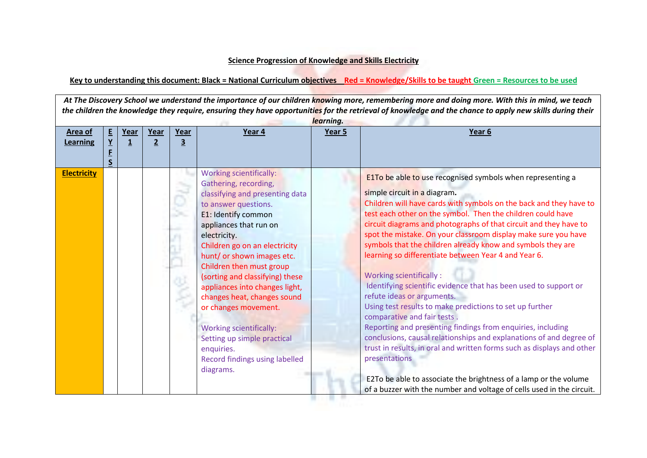## **Science Progression of Knowledge and Skills Electricity**

## **Key to understanding this document: Black = National Curriculum objectives Red = Knowledge/Skills to be taught Green = Resources to be used**

*At The Discovery School we understand the importance of our children knowing more, remembering more and doing more. With this in mind, we teach the children the knowledge they require, ensuring they have opportunities for the retrieval of knowledge and the chance to apply new skills during their learning.* **Area of Learning E Y F S Year 1 Year 2 Year 3 Year 4 Year 5 Year 6 Electricity Electricity Electricity Electricity**: Gathering, recording, classifying and presenting data to answer questions. E1: Identify common appliances that run on electricity. Children go on an electricity hunt/ or shown images etc. Children then must group (sorting and classifying) these appliances into changes light, changes heat, changes sound or changes movement. Working scientifically: Setting up simple practical enquiries. Record findings using labelled diagrams. E1To be able to use recognised symbols when representing a simple circuit in a diagram**.** Children will have cards with symbols on the back and they have to test each other on the symbol. Then the children could have circuit diagrams and photographs of that circuit and they have to spot the mistake. On your classroom display make sure you have symbols that the children already know and symbols they are learning so differentiate between Year 4 and Year 6. Working scientifically : Identifying scientific evidence that has been used to support or refute ideas or arguments. Using test results to make predictions to set up further comparative and fair tests . Reporting and presenting findings from enquiries, including conclusions, causal relationships and explanations of and degree of trust in results, in oral and written forms such as displays and other presentations E2To be able to associate the brightness of a lamp or the volume of a buzzer with the number and voltage of cells used in the circuit.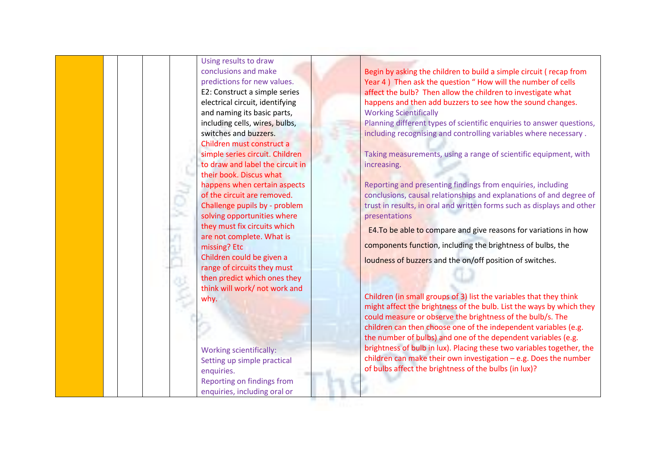Using results to draw conclusions and make predictions for new values. E2: Construct a simple series electrical circuit, identifying and naming its basic parts, including cells, wires, bulbs, switches and buzzers. Children must construct a simple series circuit. Children to draw and label the circuit in their book. Discus what happens when certain aspects of the circuit are removed. Challenge pupils by - problem solving opportunities where they must fix circuits which are not complete. What is missing? Etc Children could be given a range of circuits they must then predict which ones they think will work/ not work and why. Working scientifically: Setting up simple practical enquiries.

> Reporting on findings from enquiries, including oral or

Begin by asking the children to build a simple circuit ( recap from Year 4 ) Then ask the question " How will the number of cells affect the bulb? Then allow the children to investigate what happens and then add buzzers to see how the sound changes. Working Scientifically

Planning different types of scientific enquiries to answer questions, including recognising and controlling variables where necessary .

Taking measurements, using a range of scientific equipment, with increasing.

Reporting and presenting findings from enquiries, including conclusions, causal relationships and explanations of and degree of trust in results, in oral and written forms such as displays and other presentations

 E4.To be able to compare and give reasons for variations in how components function, including the brightness of bulbs, the loudness of buzzers and the on/off position of switches.

Children (in small groups of 3) list the variables that they think might affect the brightness of the bulb. List the ways by which they could measure or observe the brightness of the bulb/s. The children can then choose one of the independent variables (e.g. the number of bulbs) and one of the dependent variables (e.g. brightness of bulb in lux). Placing these two variables together, the children can make their own investigation – e.g. Does the number of bulbs affect the brightness of the bulbs (in lux)?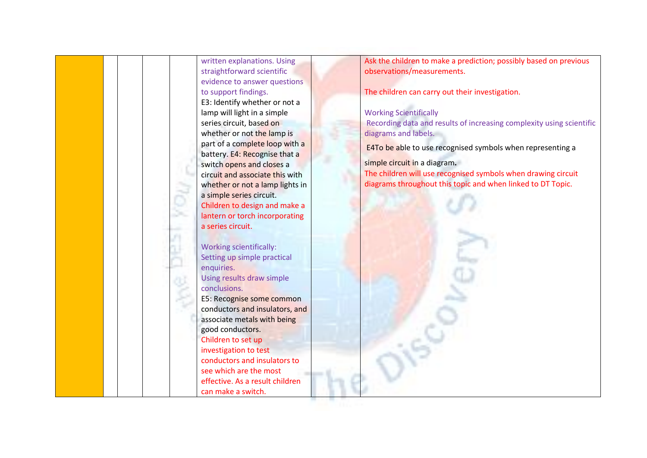| Ask the children to make a prediction; possibly based on previous<br>written explanations. Using<br>observations/measurements.<br>straightforward scientific<br>evidence to answer questions<br>to support findings.<br>The children can carry out their investigation.<br>E3: Identify whether or not a<br><b>Working Scientifically</b><br>lamp will light in a simple<br>series circuit, based on<br>Recording data and results of increasing complexity using scientific<br>whether or not the lamp is<br>diagrams and labels. |  |
|------------------------------------------------------------------------------------------------------------------------------------------------------------------------------------------------------------------------------------------------------------------------------------------------------------------------------------------------------------------------------------------------------------------------------------------------------------------------------------------------------------------------------------|--|
|                                                                                                                                                                                                                                                                                                                                                                                                                                                                                                                                    |  |
|                                                                                                                                                                                                                                                                                                                                                                                                                                                                                                                                    |  |
|                                                                                                                                                                                                                                                                                                                                                                                                                                                                                                                                    |  |
|                                                                                                                                                                                                                                                                                                                                                                                                                                                                                                                                    |  |
|                                                                                                                                                                                                                                                                                                                                                                                                                                                                                                                                    |  |
|                                                                                                                                                                                                                                                                                                                                                                                                                                                                                                                                    |  |
|                                                                                                                                                                                                                                                                                                                                                                                                                                                                                                                                    |  |
|                                                                                                                                                                                                                                                                                                                                                                                                                                                                                                                                    |  |
| part of a complete loop with a                                                                                                                                                                                                                                                                                                                                                                                                                                                                                                     |  |
| E4To be able to use recognised symbols when representing a<br>battery. E4: Recognise that a                                                                                                                                                                                                                                                                                                                                                                                                                                        |  |
| simple circuit in a diagram.<br>switch opens and closes a                                                                                                                                                                                                                                                                                                                                                                                                                                                                          |  |
| The children will use recognised symbols when drawing circuit<br>circuit and associate this with                                                                                                                                                                                                                                                                                                                                                                                                                                   |  |
| diagrams throughout this topic and when linked to DT Topic.<br>whether or not a lamp lights in                                                                                                                                                                                                                                                                                                                                                                                                                                     |  |
| a simple series circuit.                                                                                                                                                                                                                                                                                                                                                                                                                                                                                                           |  |
| Children to design and make a                                                                                                                                                                                                                                                                                                                                                                                                                                                                                                      |  |
| lantern or torch incorporating                                                                                                                                                                                                                                                                                                                                                                                                                                                                                                     |  |
| a series circuit.                                                                                                                                                                                                                                                                                                                                                                                                                                                                                                                  |  |
|                                                                                                                                                                                                                                                                                                                                                                                                                                                                                                                                    |  |
| <b>Working scientifically:</b>                                                                                                                                                                                                                                                                                                                                                                                                                                                                                                     |  |
| Setting up simple practical                                                                                                                                                                                                                                                                                                                                                                                                                                                                                                        |  |
| enquiries.                                                                                                                                                                                                                                                                                                                                                                                                                                                                                                                         |  |
| Using results draw simple                                                                                                                                                                                                                                                                                                                                                                                                                                                                                                          |  |
| conclusions.                                                                                                                                                                                                                                                                                                                                                                                                                                                                                                                       |  |
| E5: Recognise some common                                                                                                                                                                                                                                                                                                                                                                                                                                                                                                          |  |
| conductors and insulators, and                                                                                                                                                                                                                                                                                                                                                                                                                                                                                                     |  |
| associate metals with being                                                                                                                                                                                                                                                                                                                                                                                                                                                                                                        |  |
| good conductors.                                                                                                                                                                                                                                                                                                                                                                                                                                                                                                                   |  |
| Children to set up                                                                                                                                                                                                                                                                                                                                                                                                                                                                                                                 |  |
| investigation to test                                                                                                                                                                                                                                                                                                                                                                                                                                                                                                              |  |
| conductors and insulators to                                                                                                                                                                                                                                                                                                                                                                                                                                                                                                       |  |
| see which are the most                                                                                                                                                                                                                                                                                                                                                                                                                                                                                                             |  |
| effective. As a result children                                                                                                                                                                                                                                                                                                                                                                                                                                                                                                    |  |
| can make a switch.                                                                                                                                                                                                                                                                                                                                                                                                                                                                                                                 |  |

W.

ya m